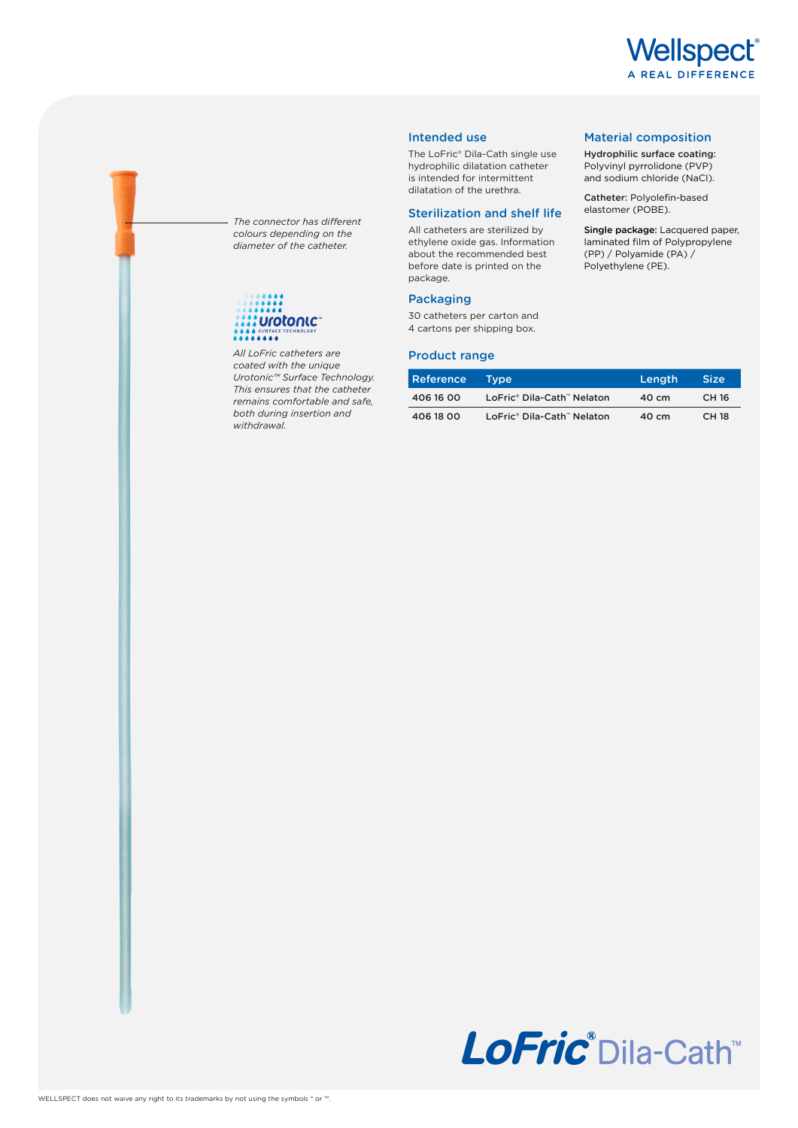

Material composition Hydrophilic surface coating: Polyvinyl pyrrolidone (PVP) and sodium chloride (NaCI). Catheter: Polyolefin-based elastomer (POBE).

Single package: Lacquered paper, laminated film of Polypropylene (PP) / Polyamide (PA) / Polyethylene (PE).

### Intended use

The LoFric® Dila-Cath single use hydrophilic dilatation catheter is intended for intermittent dilatation of the urethra.

#### Sterilization and shelf life

All catheters are sterilized by ethylene oxide gas. Information about the recommended best before date is printed on the package.

## Packaging

30 catheters per carton and 4 cartons per shipping box.

#### Product range

| Reference | Tvpe'                      | Length | <b>Size</b>  |
|-----------|----------------------------|--------|--------------|
| 406 16 00 | LoFric® Dila-Cath™ Nelaton | 40 cm  | CH 16        |
| 406 18 00 | LoFric® Dila-Cath™ Nelaton | 40 cm  | <b>CH 18</b> |

*The connector has different colours depending on the diameter of the catheter.*

# **:** Urotonic

*All LoFric catheters are coated with the unique Urotonic™ Surface Technology. This ensures that the catheter remains comfortable and safe, both during insertion and withdrawal.*